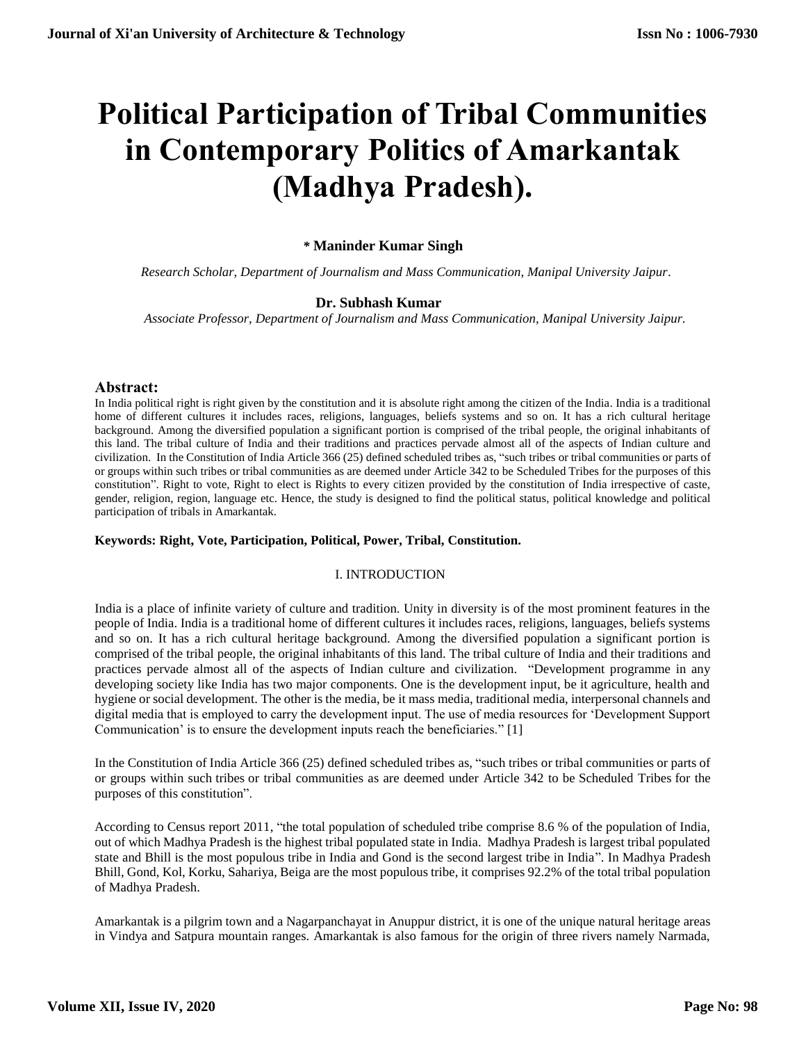# **Political Participation of Tribal Communities in Contemporary Politics of Amarkantak (Madhya Pradesh).**

# *\** **Maninder Kumar Singh**

 *Research Scholar, Department of Journalism and Mass Communication, Manipal University Jaipur.*

# **Dr. Subhash Kumar**

 *Associate Professor, Department of Journalism and Mass Communication, Manipal University Jaipur.*

# **Abstract:**

In India political right is right given by the constitution and it is absolute right among the citizen of the India. India is a traditional home of different cultures it includes races, religions, languages, beliefs systems and so on. It has a rich cultural heritage background. Among the diversified population a significant portion is comprised of the tribal people, the original inhabitants of this land. The tribal culture of India and their traditions and practices pervade almost all of the aspects of Indian culture and civilization. In the Constitution of India Article 366 (25) defined scheduled tribes as, "such tribes or tribal communities or parts of or groups within such tribes or tribal communities as are deemed under Article 342 to be Scheduled Tribes for the purposes of this constitution". Right to vote, Right to elect is Rights to every citizen provided by the constitution of India irrespective of caste, gender, religion, region, language etc. Hence, the study is designed to find the political status, political knowledge and political participation of tribals in Amarkantak.

## **Keywords: Right, Vote, Participation, Political, Power, Tribal, Constitution.**

## I. INTRODUCTION

India is a place of infinite variety of culture and tradition. Unity in diversity is of the most prominent features in the people of India. India is a traditional home of different cultures it includes races, religions, languages, beliefs systems and so on. It has a rich cultural heritage background. Among the diversified population a significant portion is comprised of the tribal people, the original inhabitants of this land. The tribal culture of India and their traditions and practices pervade almost all of the aspects of Indian culture and civilization. "Development programme in any developing society like India has two major components. One is the development input, be it agriculture, health and hygiene or social development. The other is the media, be it mass media, traditional media, interpersonal channels and digital media that is employed to carry the development input. The use of media resources for 'Development Support Communication' is to ensure the development inputs reach the beneficiaries." [1]

In the Constitution of India Article 366 (25) defined scheduled tribes as, "such tribes or tribal communities or parts of or groups within such tribes or tribal communities as are deemed under Article 342 to be Scheduled Tribes for the purposes of this constitution".

According to Census report 2011, "the total population of scheduled tribe comprise 8.6 % of the population of India, out of which Madhya Pradesh is the highest tribal populated state in India. Madhya Pradesh is largest tribal populated state and Bhill is the most populous tribe in India and Gond is the second largest tribe in India". In Madhya Pradesh Bhill, Gond, Kol, Korku, Sahariya, Beiga are the most populous tribe, it comprises 92.2% of the total tribal population of Madhya Pradesh.

Amarkantak is a pilgrim town and a Nagarpanchayat in Anuppur district, it is one of the unique natural heritage areas in Vindya and Satpura mountain ranges. Amarkantak is also famous for the origin of three rivers namely Narmada,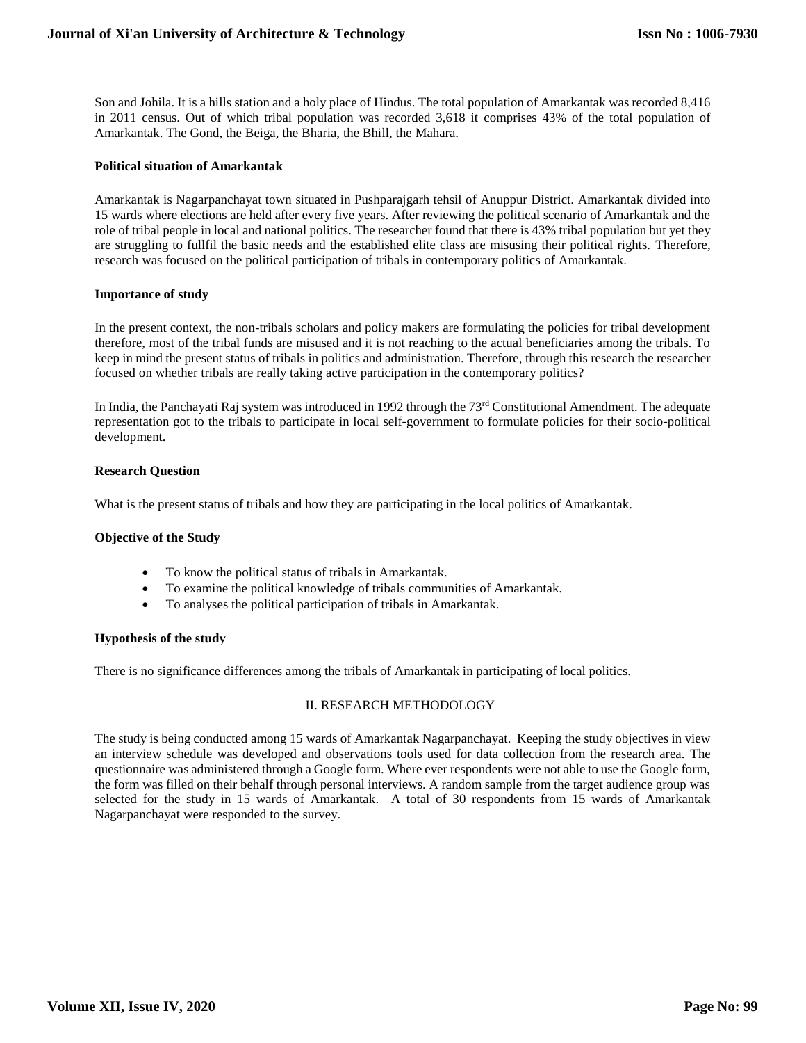Son and Johila. It is a hills station and a holy place of Hindus. The total population of Amarkantak was recorded 8,416 in 2011 census. Out of which tribal population was recorded 3,618 it comprises 43% of the total population of Amarkantak. The Gond, the Beiga, the Bharia, the Bhill, the Mahara.

#### **Political situation of Amarkantak**

Amarkantak is Nagarpanchayat town situated in Pushparajgarh tehsil of Anuppur District. Amarkantak divided into 15 wards where elections are held after every five years. After reviewing the political scenario of Amarkantak and the role of tribal people in local and national politics. The researcher found that there is 43% tribal population but yet they are struggling to fullfil the basic needs and the established elite class are misusing their political rights. Therefore, research was focused on the political participation of tribals in contemporary politics of Amarkantak.

#### **Importance of study**

In the present context, the non-tribals scholars and policy makers are formulating the policies for tribal development therefore, most of the tribal funds are misused and it is not reaching to the actual beneficiaries among the tribals. To keep in mind the present status of tribals in politics and administration. Therefore, through this research the researcher focused on whether tribals are really taking active participation in the contemporary politics?

In India, the Panchayati Raj system was introduced in 1992 through the 73<sup>rd</sup> Constitutional Amendment. The adequate representation got to the tribals to participate in local self-government to formulate policies for their socio-political development.

#### **Research Question**

What is the present status of tribals and how they are participating in the local politics of Amarkantak.

#### **Objective of the Study**

- To know the political status of tribals in Amarkantak.
- To examine the political knowledge of tribals communities of Amarkantak.
- To analyses the political participation of tribals in Amarkantak.

#### **Hypothesis of the study**

There is no significance differences among the tribals of Amarkantak in participating of local politics.

#### II. RESEARCH METHODOLOGY

The study is being conducted among 15 wards of Amarkantak Nagarpanchayat. Keeping the study objectives in view an interview schedule was developed and observations tools used for data collection from the research area. The questionnaire was administered through a Google form. Where ever respondents were not able to use the Google form, the form was filled on their behalf through personal interviews. A random sample from the target audience group was selected for the study in 15 wards of Amarkantak. A total of 30 respondents from 15 wards of Amarkantak Nagarpanchayat were responded to the survey.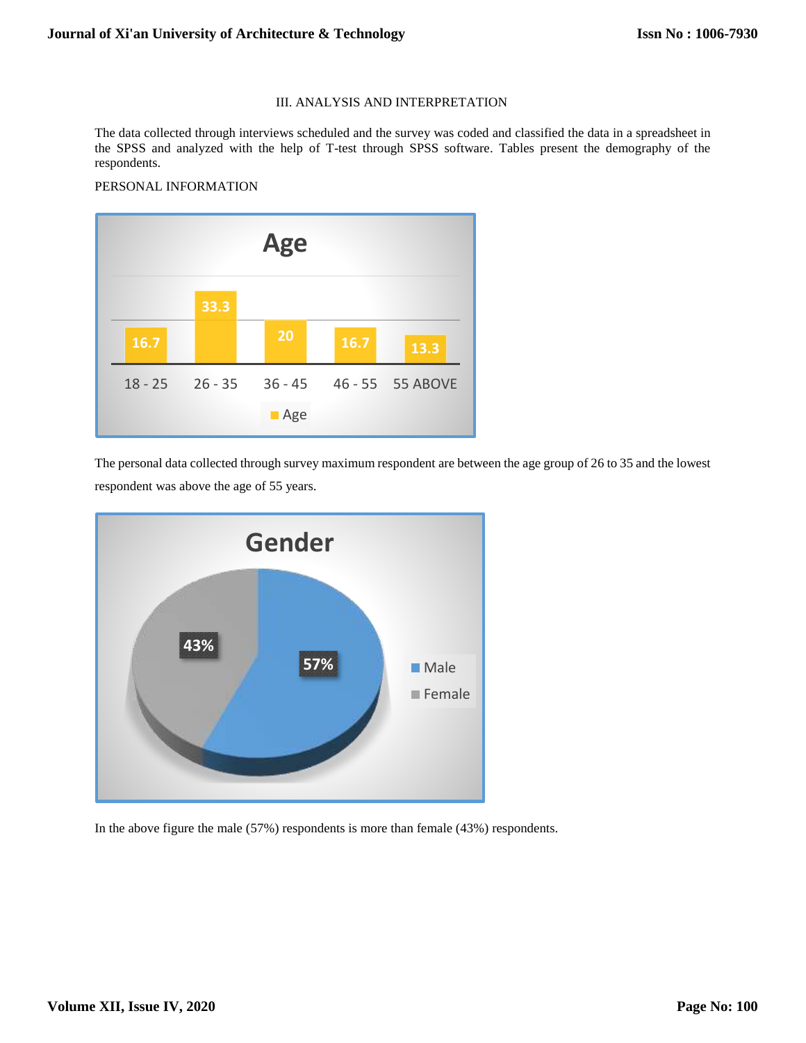# III. ANALYSIS AND INTERPRETATION

The data collected through interviews scheduled and the survey was coded and classified the data in a spreadsheet in the SPSS and analyzed with the help of T-test through SPSS software. Tables present the demography of the respondents.

PERSONAL INFORMATION



The personal data collected through survey maximum respondent are between the age group of 26 to 35 and the lowest respondent was above the age of 55 years.



In the above figure the male (57%) respondents is more than female (43%) respondents.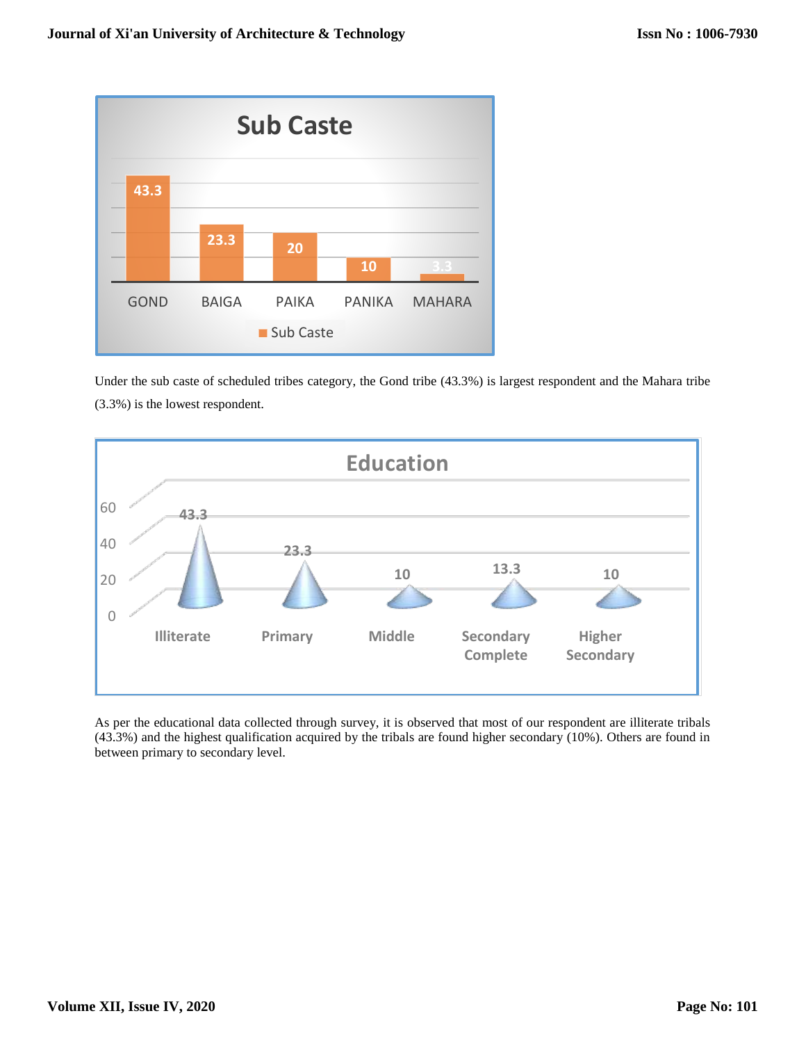

Under the sub caste of scheduled tribes category, the Gond tribe (43.3%) is largest respondent and the Mahara tribe (3.3%) is the lowest respondent.



As per the educational data collected through survey, it is observed that most of our respondent are illiterate tribals (43.3%) and the highest qualification acquired by the tribals are found higher secondary (10%). Others are found in between primary to secondary level.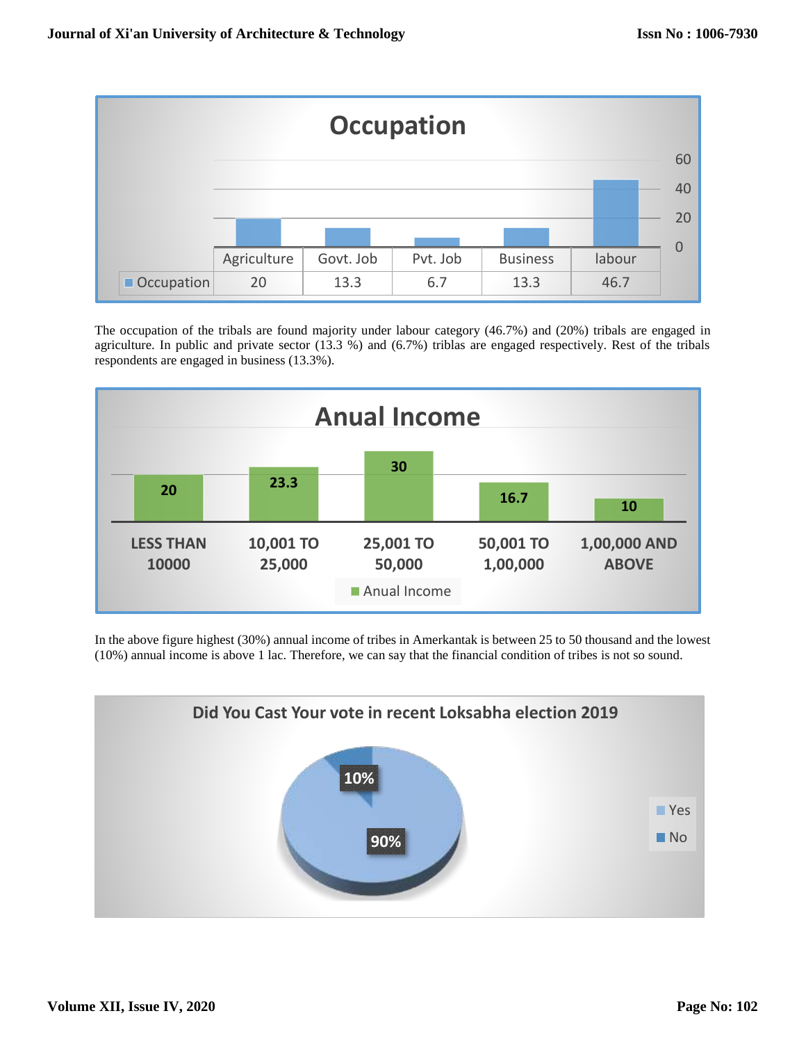

The occupation of the tribals are found majority under labour category (46.7%) and (20%) tribals are engaged in agriculture. In public and private sector (13.3 %) and (6.7%) triblas are engaged respectively. Rest of the tribals respondents are engaged in business (13.3%).



In the above figure highest (30%) annual income of tribes in Amerkantak is between 25 to 50 thousand and the lowest (10%) annual income is above 1 lac. Therefore, we can say that the financial condition of tribes is not so sound.

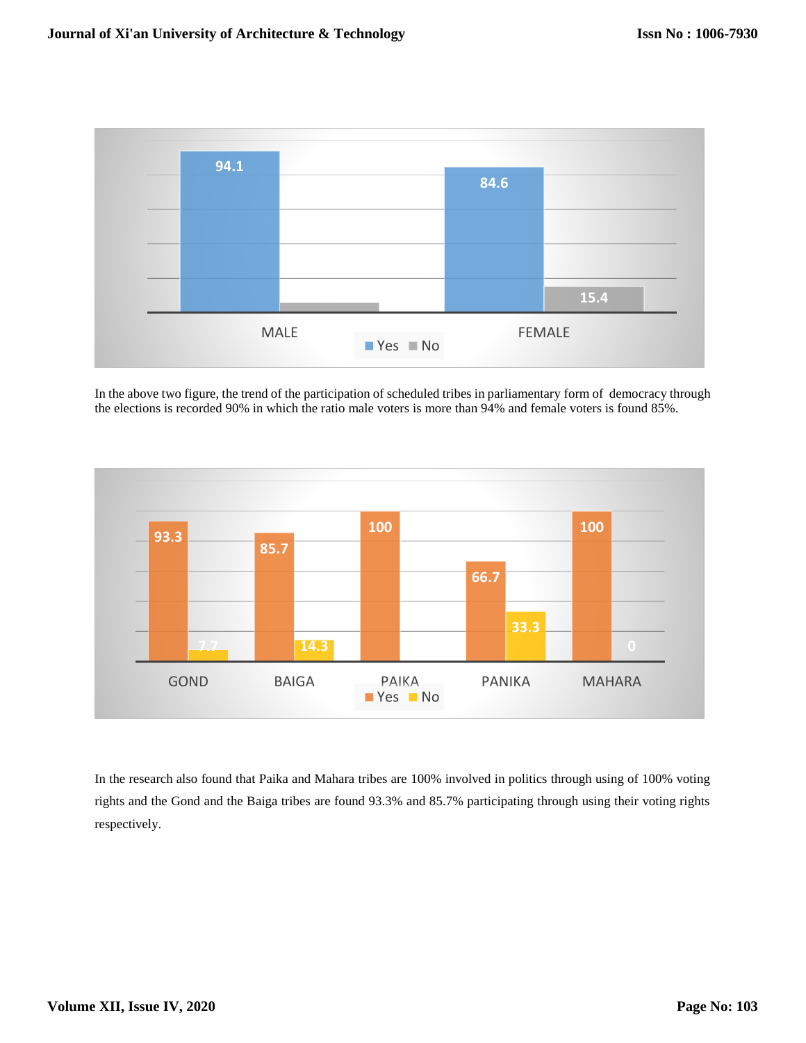

In the above two figure, the trend of the participation of scheduled tribes in parliamentary form of democracy through the elections is recorded 90% in which the ratio male voters is more than 94% and female voters is found 85%.



In the research also found that Paika and Mahara tribes are 100% involved in politics through using of 100% voting rights and the Gond and the Baiga tribes are found 93.3% and 85.7% participating through using their voting rights respectively.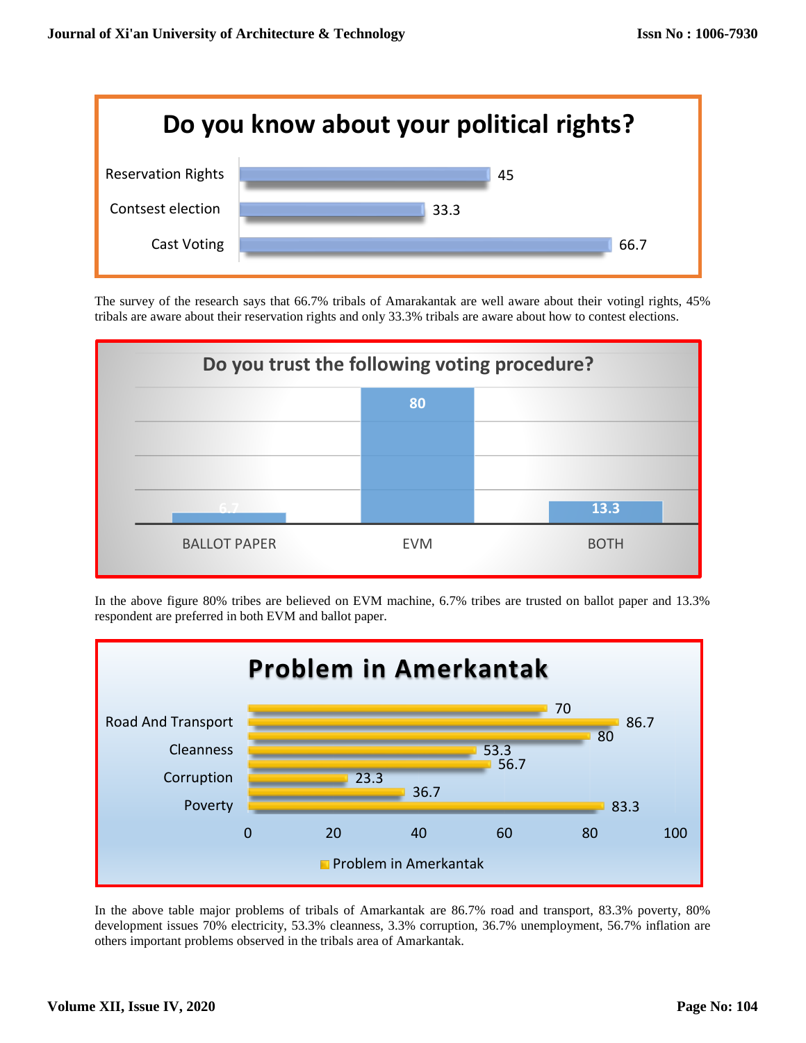

The survey of the research says that 66.7% tribals of Amarakantak are well aware about their votingl rights, 45% tribals are aware about their reservation rights and only 33.3% tribals are aware about how to contest elections.



In the above figure 80% tribes are believed on EVM machine, 6.7% tribes are trusted on ballot paper and 13.3% respondent are preferred in both EVM and ballot paper.



In the above table major problems of tribals of Amarkantak are 86.7% road and transport, 83.3% poverty, 80% development issues 70% electricity, 53.3% cleanness, 3.3% corruption, 36.7% unemployment, 56.7% inflation are others important problems observed in the tribals area of Amarkantak.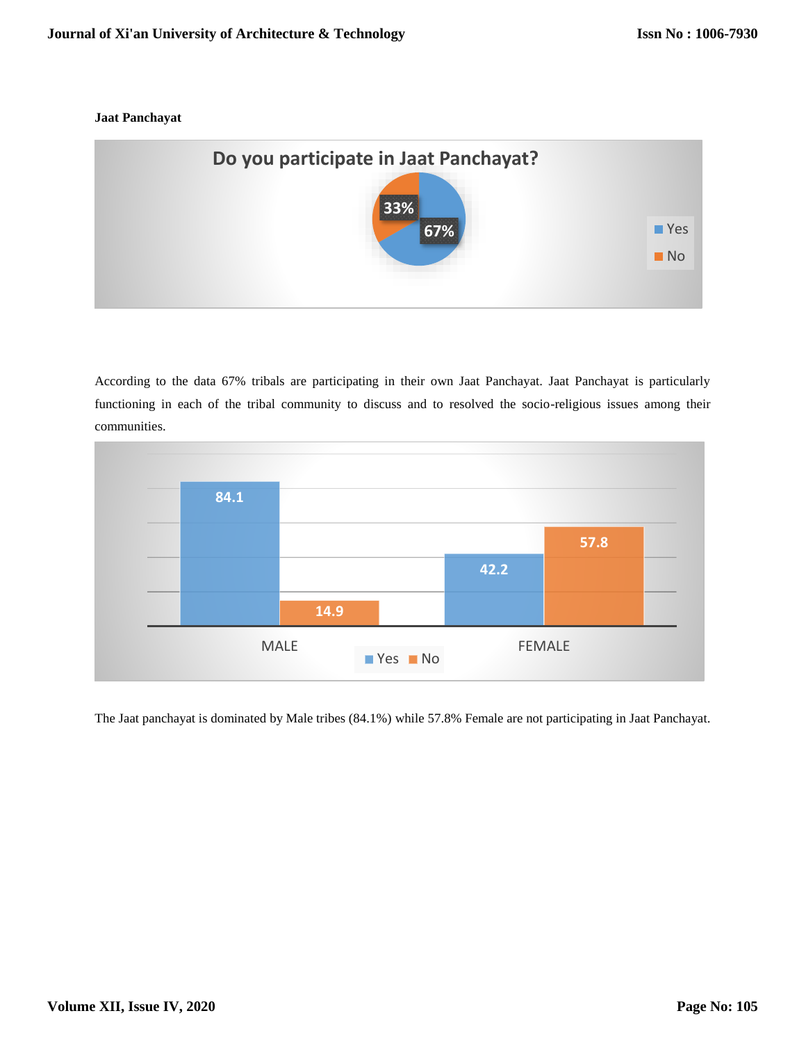## **Jaat Panchayat**



According to the data 67% tribals are participating in their own Jaat Panchayat. Jaat Panchayat is particularly functioning in each of the tribal community to discuss and to resolved the socio-religious issues among their communities.



The Jaat panchayat is dominated by Male tribes (84.1%) while 57.8% Female are not participating in Jaat Panchayat.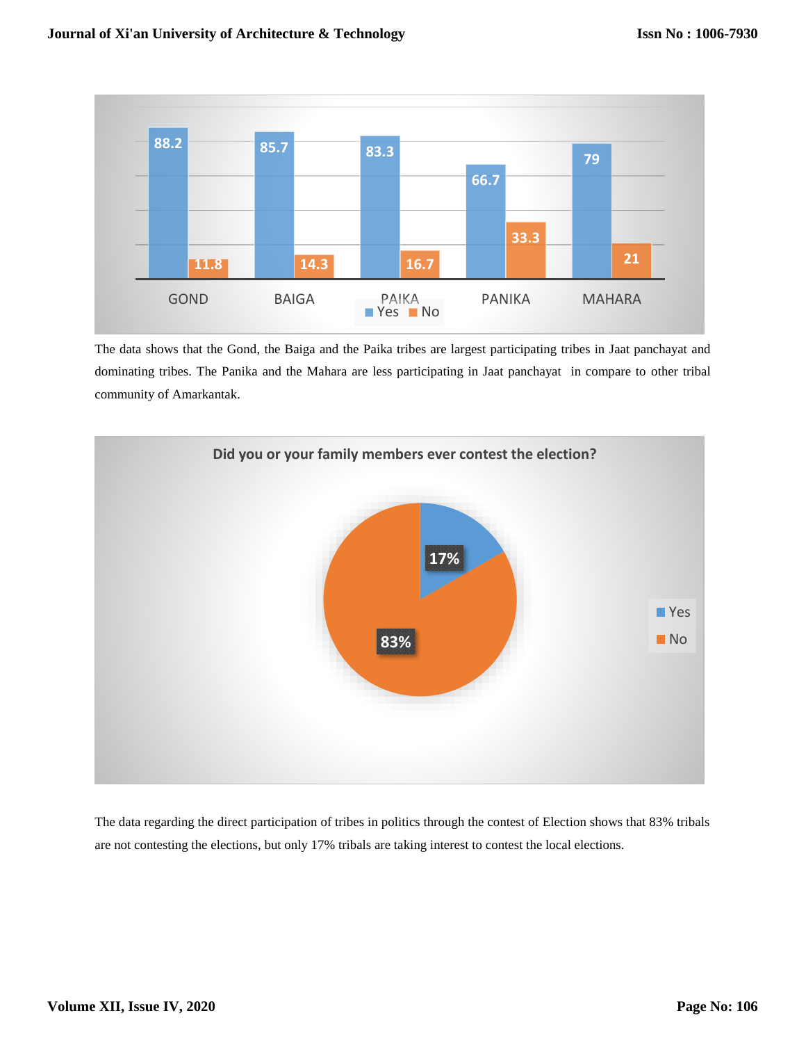

The data shows that the Gond, the Baiga and the Paika tribes are largest participating tribes in Jaat panchayat and dominating tribes. The Panika and the Mahara are less participating in Jaat panchayat in compare to other tribal community of Amarkantak.



The data regarding the direct participation of tribes in politics through the contest of Election shows that 83% tribals are not contesting the elections, but only 17% tribals are taking interest to contest the local elections.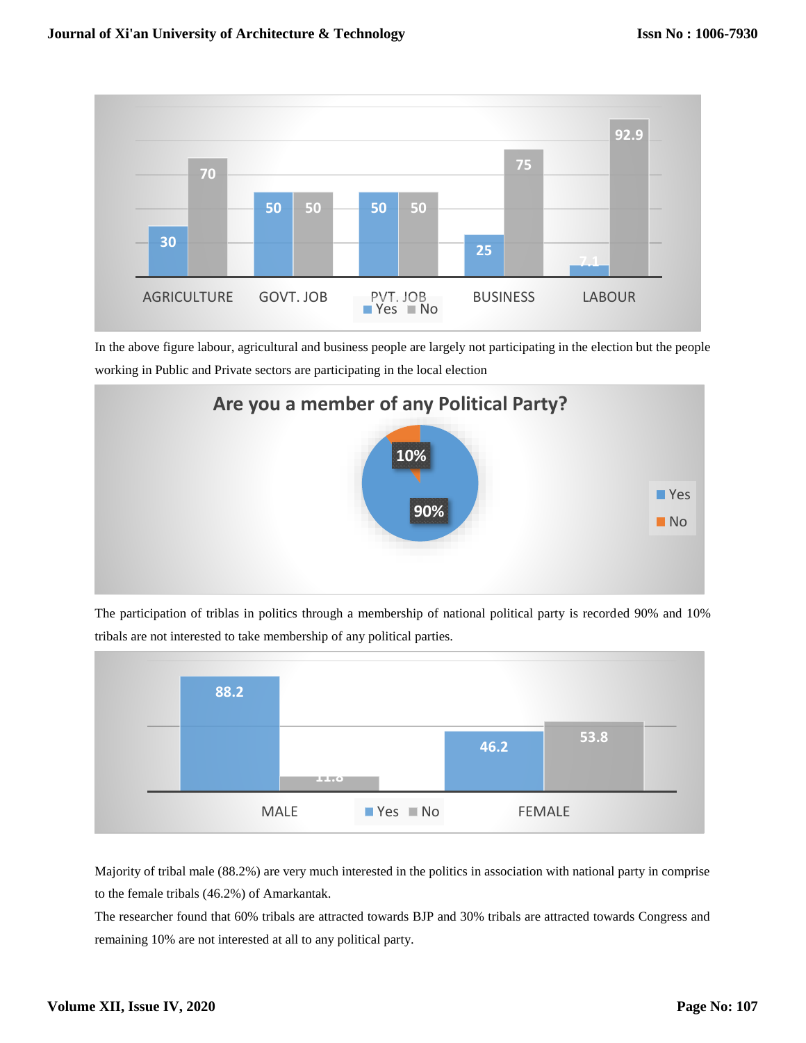

In the above figure labour, agricultural and business people are largely not participating in the election but the people working in Public and Private sectors are participating in the local election



The participation of triblas in politics through a membership of national political party is recorded 90% and 10% tribals are not interested to take membership of any political parties.



Majority of tribal male (88.2%) are very much interested in the politics in association with national party in comprise to the female tribals (46.2%) of Amarkantak.

The researcher found that 60% tribals are attracted towards BJP and 30% tribals are attracted towards Congress and remaining 10% are not interested at all to any political party.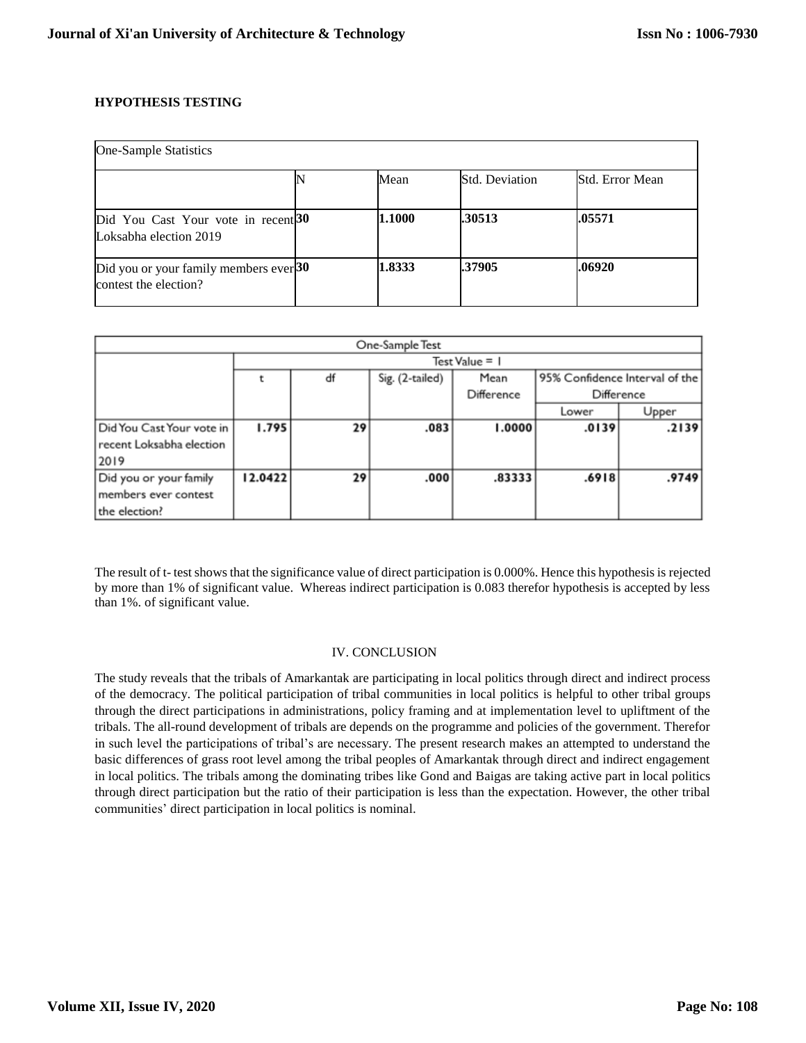# **HYPOTHESIS TESTING**

| One-Sample Statistics                                                      |  |        |                |                 |  |  |  |
|----------------------------------------------------------------------------|--|--------|----------------|-----------------|--|--|--|
|                                                                            |  | Mean   | Std. Deviation | Std. Error Mean |  |  |  |
| Did You Cast Your vote in recent <sup>30</sup><br>Loksabha election 2019   |  | 1.1000 | .30513         | .05571          |  |  |  |
| Did you or your family members ever <sup>30</sup><br>contest the election? |  | 1.8333 | .37905         | .06920          |  |  |  |

| One-Sample Test           |                  |    |                 |                   |                                |       |  |  |  |
|---------------------------|------------------|----|-----------------|-------------------|--------------------------------|-------|--|--|--|
|                           | Test Value $=$ 1 |    |                 |                   |                                |       |  |  |  |
|                           |                  | df | Sig. (2-tailed) | Mean              | 95% Confidence Interval of the |       |  |  |  |
|                           |                  |    |                 | <b>Difference</b> | Difference                     |       |  |  |  |
|                           |                  |    |                 |                   | Lower                          | Upper |  |  |  |
| Did You Cast Your vote in | 1.795            | 29 | .083            | 1.0000            | .0139                          | .2139 |  |  |  |
| recent Loksabha election  |                  |    |                 |                   |                                |       |  |  |  |
| 2019                      |                  |    |                 |                   |                                |       |  |  |  |
| Did you or your family    | 12.0422          | 29 | .000            | .83333            | .6918                          | .9749 |  |  |  |
| members ever contest      |                  |    |                 |                   |                                |       |  |  |  |
| the election?             |                  |    |                 |                   |                                |       |  |  |  |

The result of t- test shows that the significance value of direct participation is 0.000%. Hence this hypothesis is rejected by more than 1% of significant value. Whereas indirect participation is 0.083 therefor hypothesis is accepted by less than 1%. of significant value.

# IV. CONCLUSION

The study reveals that the tribals of Amarkantak are participating in local politics through direct and indirect process of the democracy. The political participation of tribal communities in local politics is helpful to other tribal groups through the direct participations in administrations, policy framing and at implementation level to upliftment of the tribals. The all-round development of tribals are depends on the programme and policies of the government. Therefor in such level the participations of tribal's are necessary. The present research makes an attempted to understand the basic differences of grass root level among the tribal peoples of Amarkantak through direct and indirect engagement in local politics. The tribals among the dominating tribes like Gond and Baigas are taking active part in local politics through direct participation but the ratio of their participation is less than the expectation. However, the other tribal communities' direct participation in local politics is nominal.